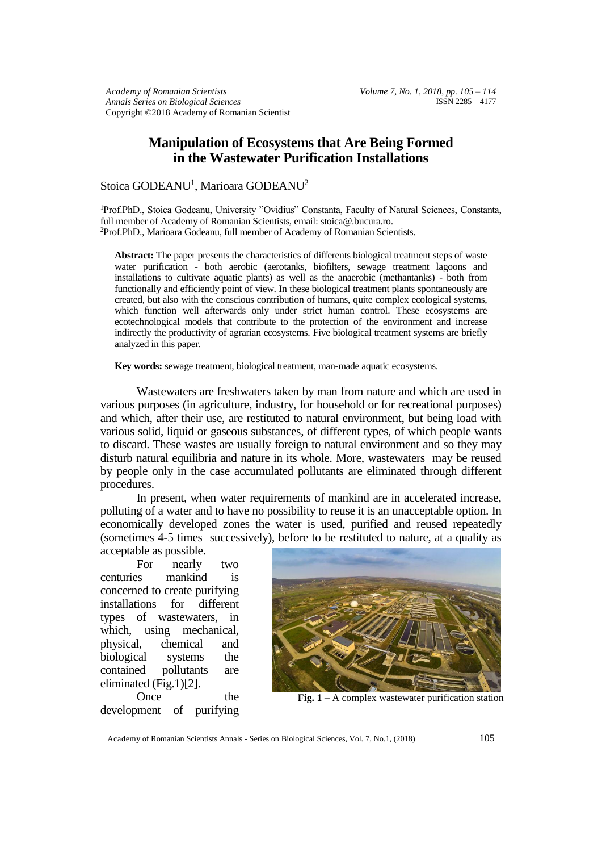## **Manipulation of Ecosystems that Are Being Formed in the Wastewater Purification Installations**

## Stoica GODEANU<sup>1</sup>, Marioara GODEANU<sup>2</sup>

<sup>1</sup>Prof.PhD., Stoica Godeanu, University "Ovidius" Constanta, Faculty of Natural Sciences, Constanta, full member of Academy of Romanian Scientists, email: stoica@.bucura.ro. <sup>2</sup>Prof.PhD., Marioara Godeanu, full member of Academy of Romanian Scientists.

**Abstract:** The paper presents the characteristics of differents biological treatment steps of waste water purification - both aerobic (aerotanks, biofilters, sewage treatment lagoons and installations to cultivate aquatic plants) as well as the anaerobic (methantanks) - both from functionally and efficiently point of view. In these biological treatment plants spontaneously are created, but also with the conscious contribution of humans, quite complex ecological systems, which function well afterwards only under strict human control. These ecosystems are ecotechnological models that contribute to the protection of the environment and increase indirectly the productivity of agrarian ecosystems. Five biological treatment systems are briefly analyzed in this paper.

**Key words:** sewage treatment, biological treatment, man-made aquatic ecosystems.

Wastewaters are freshwaters taken by man from nature and which are used in various purposes (in agriculture, industry, for household or for recreational purposes) and which, after their use, are restituted to natural environment, but being load with various solid, liquid or gaseous substances, of different types, of which people wants to discard. These wastes are usually foreign to natural environment and so they may disturb natural equilibria and nature in its whole. More, wastewaters may be reused by people only in the case accumulated pollutants are eliminated through different procedures.

In present, when water requirements of mankind are in accelerated increase, polluting of a water and to have no possibility to reuse it is an unacceptable option. In economically developed zones the water is used, purified and reused repeatedly (sometimes 4-5 times successively), before to be restituted to nature, at a quality as acceptable as possible.

For nearly two centuries mankind is concerned to create purifying installations for different types of wastewaters, in which, using mechanical, physical, chemical and biological systems the contained pollutants are eliminated (Fig.1)[2].

Once the development of purifying



**Fig. 1** – A complex wastewater purification station

Academy of Romanian Scientists Annals - Series on Biological Sciences, Vol. 7, No.1, (2018) 105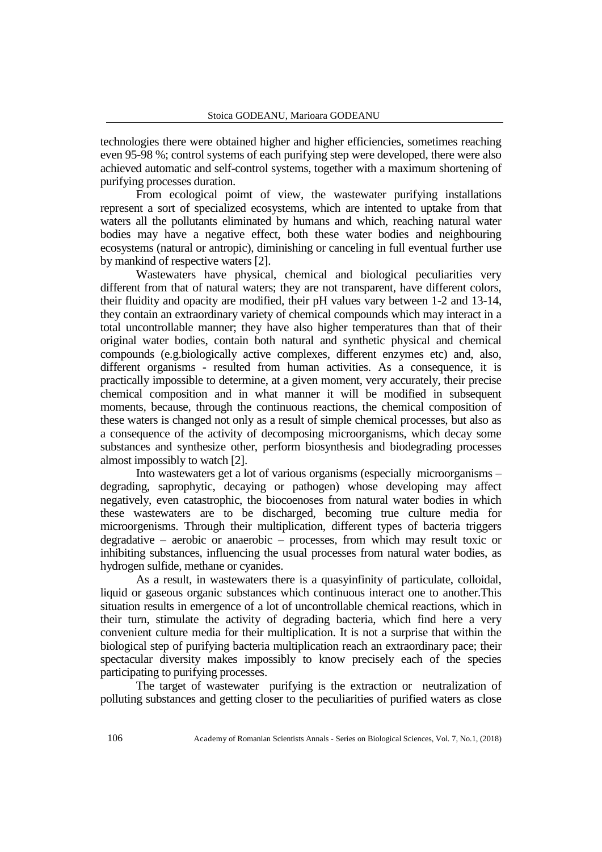technologies there were obtained higher and higher efficiencies, sometimes reaching even 95-98 %; control systems of each purifying step were developed, there were also achieved automatic and self-control systems, together with a maximum shortening of purifying processes duration.

From ecological poimt of view, the wastewater purifying installations represent a sort of specialized ecosystems, which are intented to uptake from that waters all the pollutants eliminated by humans and which, reaching natural water bodies may have a negative effect, both these water bodies and neighbouring ecosystems (natural or antropic), diminishing or canceling in full eventual further use by mankind of respective waters [2].

Wastewaters have physical, chemical and biological peculiarities very different from that of natural waters; they are not transparent, have different colors, their fluidity and opacity are modified, their pH values vary between 1-2 and 13-14, they contain an extraordinary variety of chemical compounds which may interact in a total uncontrollable manner; they have also higher temperatures than that of their original water bodies, contain both natural and synthetic physical and chemical compounds (e.g.biologically active complexes, different enzymes etc) and, also, different organisms - resulted from human activities. As a consequence, it is practically impossible to determine, at a given moment, very accurately, their precise chemical composition and in what manner it will be modified in subsequent moments, because, through the continuous reactions, the chemical composition of these waters is changed not only as a result of simple chemical processes, but also as a consequence of the activity of decomposing microorganisms, which decay some substances and synthesize other, perform biosynthesis and biodegrading processes almost impossibly to watch [2].

Into wastewaters get a lot of various organisms (especially microorganisms – degrading, saprophytic, decaying or pathogen) whose developing may affect negatively, even catastrophic, the biocoenoses from natural water bodies in which these wastewaters are to be discharged, becoming true culture media for microorgenisms. Through their multiplication, different types of bacteria triggers degradative – aerobic or anaerobic – processes, from which may result toxic or inhibiting substances, influencing the usual processes from natural water bodies, as hydrogen sulfide, methane or cyanides.

As a result, in wastewaters there is a quasyinfinity of particulate, colloidal, liquid or gaseous organic substances which continuous interact one to another.This situation results in emergence of a lot of uncontrollable chemical reactions, which in their turn, stimulate the activity of degrading bacteria, which find here a very convenient culture media for their multiplication. It is not a surprise that within the biological step of purifying bacteria multiplication reach an extraordinary pace; their spectacular diversity makes impossibly to know precisely each of the species participating to purifying processes.

The target of wastewater purifying is the extraction or neutralization of polluting substances and getting closer to the peculiarities of purified waters as close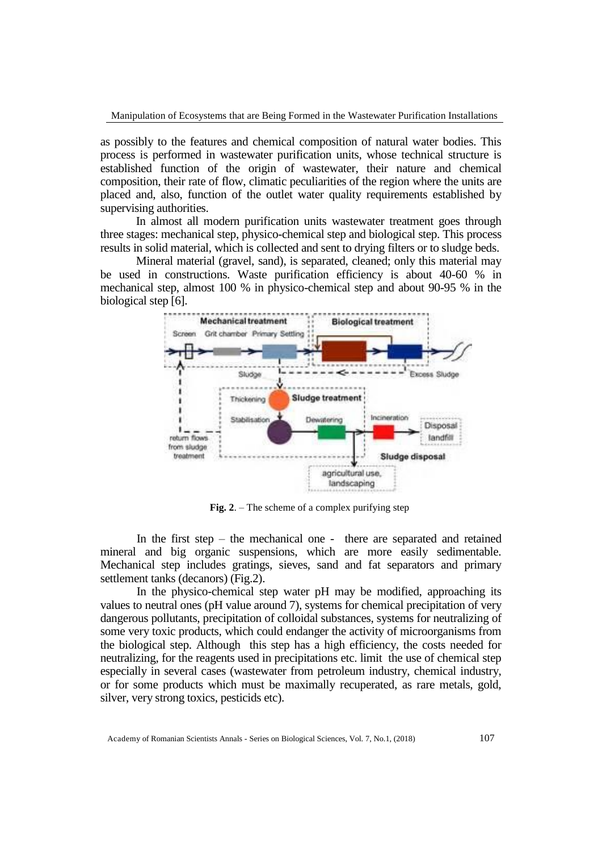as possibly to the features and chemical composition of natural water bodies. This process is performed in wastewater purification units, whose technical structure is established function of the origin of wastewater, their nature and chemical composition, their rate of flow, climatic peculiarities of the region where the units are placed and, also, function of the outlet water quality requirements established by supervising authorities.

In almost all modern purification units wastewater treatment goes through three stages: mechanical step, physico-chemical step and biological step. This process results in solid material, which is collected and sent to drying filters or to sludge beds.

Mineral material (gravel, sand), is separated, cleaned; only this material may be used in constructions. Waste purification efficiency is about 40-60 % in mechanical step, almost 100 % in physico-chemical step and about 90-95 % in the biological step [6].



**Fig. 2**. – The scheme of a complex purifying step

In the first step – the mechanical one - there are separated and retained mineral and big organic suspensions, which are more easily sedimentable. Mechanical step includes gratings, sieves, sand and fat separators and primary settlement tanks (decanors) (Fig.2).

In the physico-chemical step water pH may be modified, approaching its values to neutral ones (pH value around 7), systems for chemical precipitation of very dangerous pollutants, precipitation of colloidal substances, systems for neutralizing of some very toxic products, which could endanger the activity of microorganisms from the biological step. Although this step has a high efficiency, the costs needed for neutralizing, for the reagents used in precipitations etc. limit the use of chemical step especially in several cases (wastewater from petroleum industry, chemical industry, or for some products which must be maximally recuperated, as rare metals, gold, silver, very strong toxics, pesticids etc).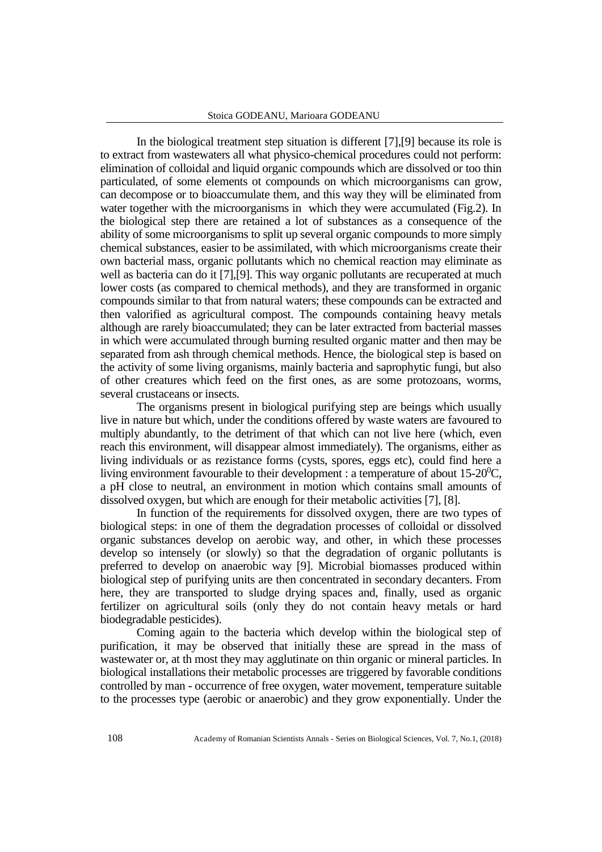In the biological treatment step situation is different [7],[9] because its role is to extract from wastewaters all what physico-chemical procedures could not perform: elimination of colloidal and liquid organic compounds which are dissolved or too thin particulated, of some elements ot compounds on which microorganisms can grow, can decompose or to bioaccumulate them, and this way they will be eliminated from water together with the microorganisms in which they were accumulated (Fig.2). In the biological step there are retained a lot of substances as a consequence of the ability of some microorganisms to split up several organic compounds to more simply chemical substances, easier to be assimilated, with which microorganisms create their own bacterial mass, organic pollutants which no chemical reaction may eliminate as well as bacteria can do it [7], [9]. This way organic pollutants are recuperated at much lower costs (as compared to chemical methods), and they are transformed in organic compounds similar to that from natural waters; these compounds can be extracted and then valorified as agricultural compost. The compounds containing heavy metals although are rarely bioaccumulated; they can be later extracted from bacterial masses in which were accumulated through burning resulted organic matter and then may be separated from ash through chemical methods. Hence, the biological step is based on the activity of some living organisms, mainly bacteria and saprophytic fungi, but also of other creatures which feed on the first ones, as are some protozoans, worms, several crustaceans or insects.

The organisms present in biological purifying step are beings which usually live in nature but which, under the conditions offered by waste waters are favoured to multiply abundantly, to the detriment of that which can not live here (which, even reach this environment, will disappear almost immediately). The organisms, either as living individuals or as rezistance forms (cysts, spores, eggs etc), could find here a living environment favourable to their development : a temperature of about  $15{\text -}20^0$ C, a pH close to neutral, an environment in motion which contains small amounts of dissolved oxygen, but which are enough for their metabolic activities [7], [8].

In function of the requirements for dissolved oxygen, there are two types of biological steps: in one of them the degradation processes of colloidal or dissolved organic substances develop on aerobic way, and other, in which these processes develop so intensely (or slowly) so that the degradation of organic pollutants is preferred to develop on anaerobic way [9]. Microbial biomasses produced within biological step of purifying units are then concentrated in secondary decanters. From here, they are transported to sludge drying spaces and, finally, used as organic fertilizer on agricultural soils (only they do not contain heavy metals or hard biodegradable pesticides).

Coming again to the bacteria which develop within the biological step of purification, it may be observed that initially these are spread in the mass of wastewater or, at th most they may agglutinate on thin organic or mineral particles. In biological installations their metabolic processes are triggered by favorable conditions controlled by man - occurrence of free oxygen, water movement, temperature suitable to the processes type (aerobic or anaerobic) and they grow exponentially. Under the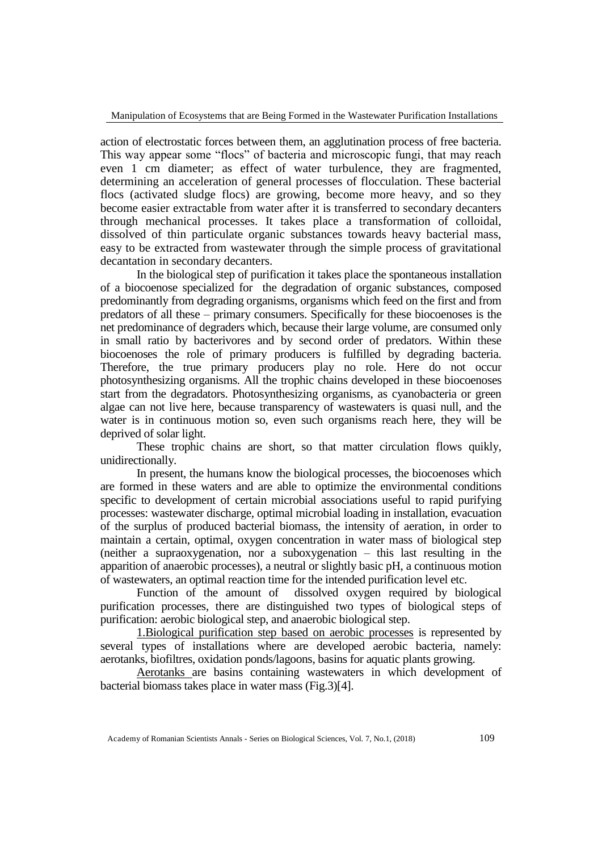Manipulation of Ecosystems that are Being Formed in the Wastewater Purification Installations

action of electrostatic forces between them, an agglutination process of free bacteria. This way appear some "flocs" of bacteria and microscopic fungi, that may reach even 1 cm diameter; as effect of water turbulence, they are fragmented, determining an acceleration of general processes of flocculation. These bacterial flocs (activated sludge flocs) are growing, become more heavy, and so they become easier extractable from water after it is transferred to secondary decanters through mechanical processes. It takes place a transformation of colloidal, dissolved of thin particulate organic substances towards heavy bacterial mass, easy to be extracted from wastewater through the simple process of gravitational decantation in secondary decanters.

In the biological step of purification it takes place the spontaneous installation of a biocoenose specialized for the degradation of organic substances, composed predominantly from degrading organisms, organisms which feed on the first and from predators of all these – primary consumers. Specifically for these biocoenoses is the net predominance of degraders which, because their large volume, are consumed only in small ratio by bacterivores and by second order of predators. Within these biocoenoses the role of primary producers is fulfilled by degrading bacteria. Therefore, the true primary producers play no role. Here do not occur photosynthesizing organisms. All the trophic chains developed in these biocoenoses start from the degradators. Photosynthesizing organisms, as cyanobacteria or green algae can not live here, because transparency of wastewaters is quasi null, and the water is in continuous motion so, even such organisms reach here, they will be deprived of solar light.

These trophic chains are short, so that matter circulation flows quikly, unidirectionally.

In present, the humans know the biological processes, the biocoenoses which are formed in these waters and are able to optimize the environmental conditions specific to development of certain microbial associations useful to rapid purifying processes: wastewater discharge, optimal microbial loading in installation, evacuation of the surplus of produced bacterial biomass, the intensity of aeration, in order to maintain a certain, optimal, oxygen concentration in water mass of biological step (neither a supraoxygenation, nor a suboxygenation – this last resulting in the apparition of anaerobic processes), a neutral or slightly basic pH, a continuous motion of wastewaters, an optimal reaction time for the intended purification level etc.

Function of the amount of dissolved oxygen required by biological purification processes, there are distinguished two types of biological steps of purification: aerobic biological step, and anaerobic biological step.

1.Biological purification step based on aerobic processes is represented by several types of installations where are developed aerobic bacteria, namely: aerotanks, biofiltres, oxidation ponds/lagoons, basins for aquatic plants growing.

Aerotanks are basins containing wastewaters in which development of bacterial biomass takes place in water mass (Fig.3)[4].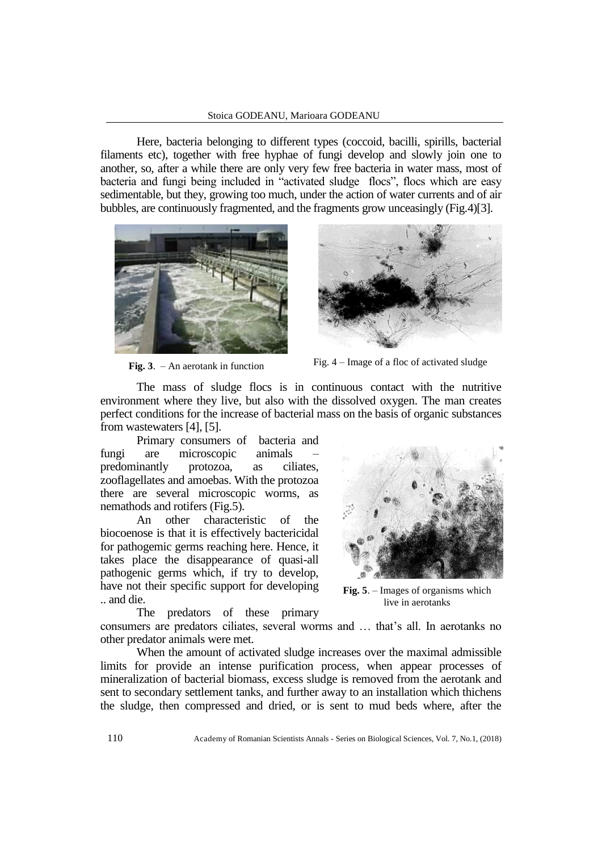Here, bacteria belonging to different types (coccoid, bacilli, spirills, bacterial filaments etc), together with free hyphae of fungi develop and slowly join one to another, so, after a while there are only very few free bacteria in water mass, most of bacteria and fungi being included in "activated sludge flocs", flocs which are easy sedimentable, but they, growing too much, under the action of water currents and of air bubbles, are continuously fragmented, and the fragments grow unceasingly (Fig.4)[3].





**Fig. 3**. – An aerotank in function Fig.  $4$  – Image of a floc of activated sludge

The mass of sludge flocs is in continuous contact with the nutritive environment where they live, but also with the dissolved oxygen. The man creates perfect conditions for the increase of bacterial mass on the basis of organic substances from wastewaters [4], [5].

Primary consumers of bacteria and fungi are microscopic animals – predominantly protozoa, as ciliates, zooflagellates and amoebas. With the protozoa there are several microscopic worms, as nemathods and rotifers (Fig.5).

An other characteristic of the biocoenose is that it is effectively bactericidal for pathogemic germs reaching here. Hence, it takes place the disappearance of quasi-all pathogenic germs which, if try to develop, have not their specific support for developing .. and die.

**Fig. 5**. – Images of organisms which live in aerotanks

The predators of these primary consumers are predators ciliates, several worms and … that's all. In aerotanks no other predator animals were met.

When the amount of activated sludge increases over the maximal admissible limits for provide an intense purification process, when appear processes of mineralization of bacterial biomass, excess sludge is removed from the aerotank and sent to secondary settlement tanks, and further away to an installation which thichens the sludge, then compressed and dried, or is sent to mud beds where, after the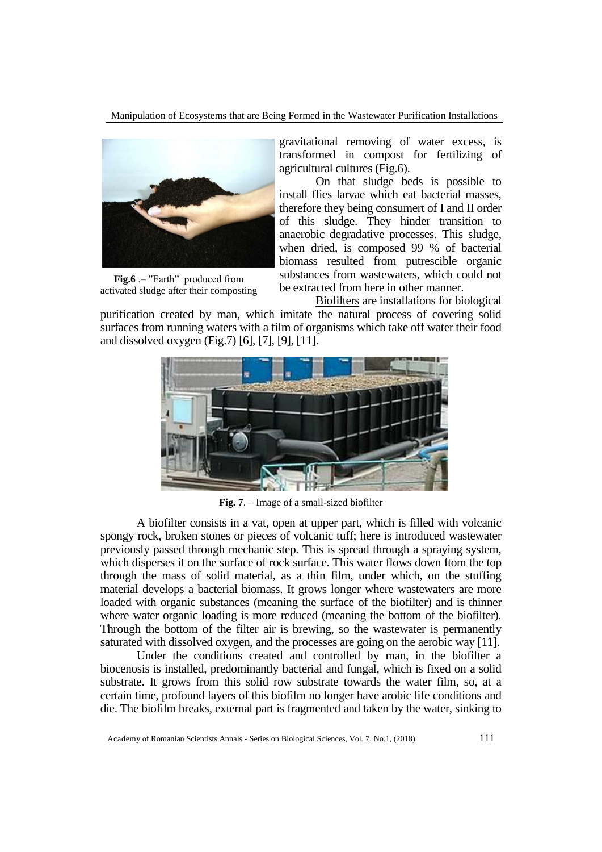Manipulation of Ecosystems that are Being Formed in the Wastewater Purification Installations



**Fig.6** .– "Earth" produced from activated sludge after their composting

gravitational removing of water excess, is transformed in compost for fertilizing of agricultural cultures (Fig.6).

On that sludge beds is possible to install flies larvae which eat bacterial masses, therefore they being consumert of I and II order of this sludge. They hinder transition to anaerobic degradative processes. This sludge, when dried, is composed 99 % of bacterial biomass resulted from putrescible organic substances from wastewaters, which could not be extracted from here in other manner.

Biofilters are installations for biological purification created by man, which imitate the natural process of covering solid surfaces from running waters with a film of organisms which take off water their food and dissolved oxygen (Fig.7) [6], [7], [9], [11].



**Fig. 7**. – Image of a small-sized biofilter

A biofilter consists in a vat, open at upper part, which is filled with volcanic spongy rock, broken stones or pieces of volcanic tuff; here is introduced wastewater previously passed through mechanic step. This is spread through a spraying system, which disperses it on the surface of rock surface. This water flows down ftom the top through the mass of solid material, as a thin film, under which, on the stuffing material develops a bacterial biomass. It grows longer where wastewaters are more loaded with organic substances (meaning the surface of the biofilter) and is thinner where water organic loading is more reduced (meaning the bottom of the biofilter). Through the bottom of the filter air is brewing, so the wastewater is permanently saturated with dissolved oxygen, and the processes are going on the aerobic way [11].

Under the conditions created and controlled by man, in the biofilter a biocenosis is installed, predominantly bacterial and fungal, which is fixed on a solid substrate. It grows from this solid row substrate towards the water film, so, at a certain time, profound layers of this biofilm no longer have arobic life conditions and die. The biofilm breaks, external part is fragmented and taken by the water, sinking to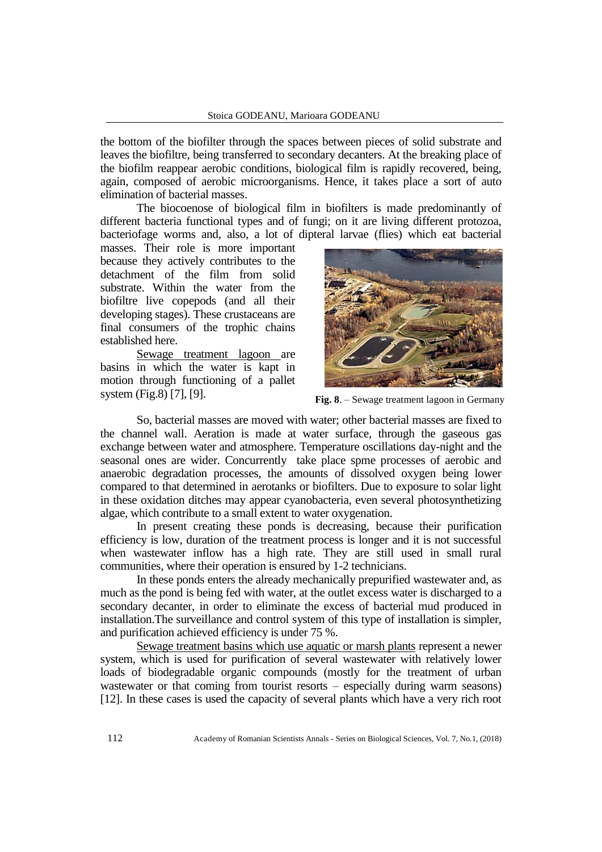the bottom of the biofilter through the spaces between pieces of solid substrate and leaves the biofiltre, being transferred to secondary decanters. At the breaking place of the biofilm reappear aerobic conditions, biological film is rapidly recovered, being, again, composed of aerobic microorganisms. Hence, it takes place a sort of auto elimination of bacterial masses.

The biocoenose of biological film in biofilters is made predominantly of different bacteria functional types and of fungi; on it are living different protozoa, bacteriofage worms and, also, a lot of dipteral larvae (flies) which eat bacterial

masses. Their role is more important because they actively contributes to the detachment of the film from solid substrate. Within the water from the biofiltre live copepods (and all their developing stages). These crustaceans are final consumers of the trophic chains established here.

Sewage treatment lagoon are basins in which the water is kapt in motion through functioning of a pallet system (Fig.8) [7], [9].



**Fig. 8**. – Sewage treatment lagoon in Germany

So, bacterial masses are moved with water; other bacterial masses are fixed to the channel wall. Aeration is made at water surface, through the gaseous gas exchange between water and atmosphere. Temperature oscillations day-night and the seasonal ones are wider. Concurrently take place spme processes of aerobic and anaerobic degradation processes, the amounts of dissolved oxygen being lower compared to that determined in aerotanks or biofilters. Due to exposure to solar light in these oxidation ditches may appear cyanobacteria, even several photosynthetizing algae, which contribute to a small extent to water oxygenation.

In present creating these ponds is decreasing, because their purification efficiency is low, duration of the treatment process is longer and it is not successful when wastewater inflow has a high rate. They are still used in small rural communities, where their operation is ensured by 1-2 technicians.

In these ponds enters the already mechanically prepurified wastewater and, as much as the pond is being fed with water, at the outlet excess water is discharged to a secondary decanter, in order to eliminate the excess of bacterial mud produced in installation.The surveillance and control system of this type of installation is simpler, and purification achieved efficiency is under 75 %.

Sewage treatment basins which use aquatic or marsh plants represent a newer system, which is used for purification of several wastewater with relatively lower loads of biodegradable organic compounds (mostly for the treatment of urban wastewater or that coming from tourist resorts – especially during warm seasons) [12]. In these cases is used the capacity of several plants which have a very rich root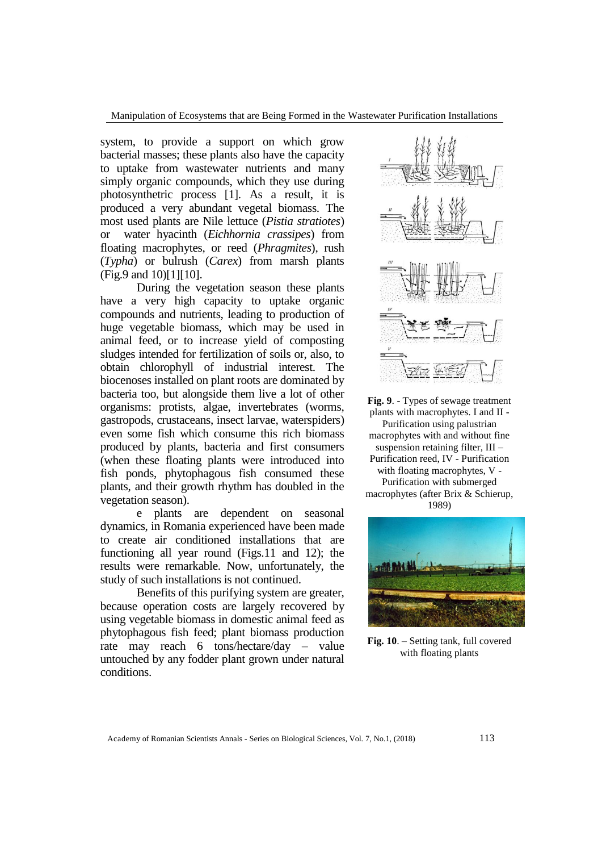Manipulation of Ecosystems that are Being Formed in the Wastewater Purification Installations

system, to provide a support on which grow bacterial masses; these plants also have the capacity to uptake from wastewater nutrients and many simply organic compounds, which they use during photosynthetric process [1]. As a result, it is produced a very abundant vegetal biomass. The most used plants are Nile lettuce (*Pistia stratiotes*) or water hyacinth (*Eichhornia crassipes*) from floating macrophytes, or reed (*Phragmites*), rush (*Typha*) or bulrush (*Carex*) from marsh plants (Fig.9 and 10)[1][10].

During the vegetation season these plants have a very high capacity to uptake organic compounds and nutrients, leading to production of huge vegetable biomass, which may be used in animal feed, or to increase yield of composting sludges intended for fertilization of soils or, also, to obtain chlorophyll of industrial interest. The biocenoses installed on plant roots are dominated by bacteria too, but alongside them live a lot of other organisms: protists, algae, invertebrates (worms, gastropods, crustaceans, insect larvae, waterspiders) even some fish which consume this rich biomass produced by plants, bacteria and first consumers (when these floating plants were introduced into fish ponds, phytophagous fish consumed these plants, and their growth rhythm has doubled in the vegetation season).

e plants are dependent on seasonal dynamics, in Romania experienced have been made to create air conditioned installations that are functioning all year round (Figs.11 and 12); the results were remarkable. Now, unfortunately, the study of such installations is not continued.

Benefits of this purifying system are greater, because operation costs are largely recovered by using vegetable biomass in domestic animal feed as phytophagous fish feed; plant biomass production rate may reach 6 tons/hectare/day – value untouched by any fodder plant grown under natural conditions.



**Fig. 9**. - Types of sewage treatment plants with macrophytes. I and II - Purification using palustrian macrophytes with and without fine suspension retaining filter, III – Purification reed, IV - Purification with floating macrophytes, V - Purification with submerged macrophytes (after Brix & Schierup, 1989)



**Fig. 10**. – Setting tank, full covered with floating plants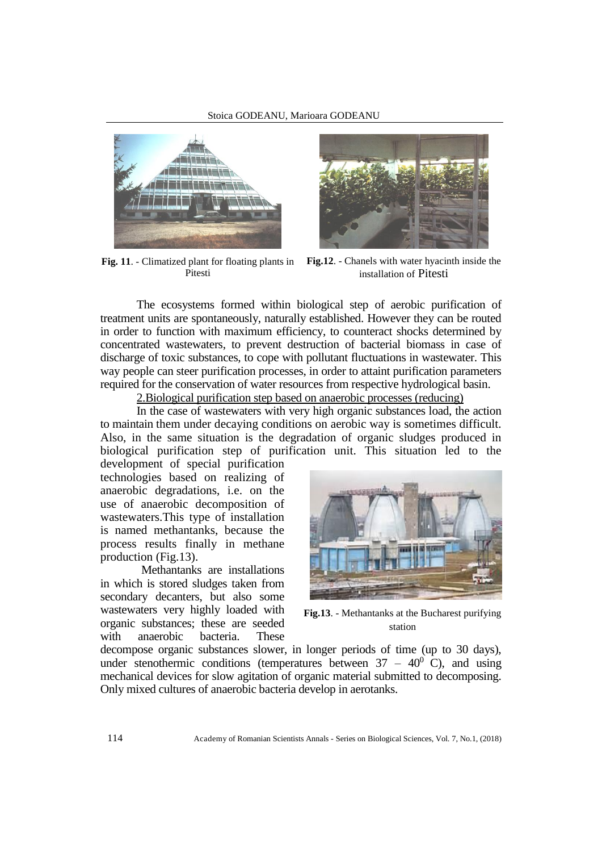

Pitesti



**Fig. 11**. - Climatized plant for floating plants in **Fig.12**. - Chanels with water hyacinth inside the installation of Pitesti

The ecosystems formed within biological step of aerobic purification of treatment units are spontaneously, naturally established. However they can be routed in order to function with maximum efficiency, to counteract shocks determined by concentrated wastewaters, to prevent destruction of bacterial biomass in case of discharge of toxic substances, to cope with pollutant fluctuations in wastewater. This way people can steer purification processes, in order to attaint purification parameters required for the conservation of water resources from respective hydrological basin.

2.Biological purification step based on anaerobic processes (reducing)

In the case of wastewaters with very high organic substances load, the action to maintain them under decaying conditions on aerobic way is sometimes difficult. Also, in the same situation is the degradation of organic sludges produced in biological purification step of purification unit. This situation led to the

development of special purification technologies based on realizing of anaerobic degradations, i.e. on the use of anaerobic decomposition of wastewaters.This type of installation is named methantanks, because the process results finally in methane production (Fig.13).

Methantanks are installations in which is stored sludges taken from secondary decanters, but also some wastewaters very highly loaded with organic substances; these are seeded with anaerobic bacteria. These



**Fig.13**. - Methantanks at the Bucharest purifying station

decompose organic substances slower, in longer periods of time (up to 30 days), under stenothermic conditions (temperatures between  $37 - 40^{\circ}$  C), and using mechanical devices for slow agitation of organic material submitted to decomposing. Only mixed cultures of anaerobic bacteria develop in aerotanks.